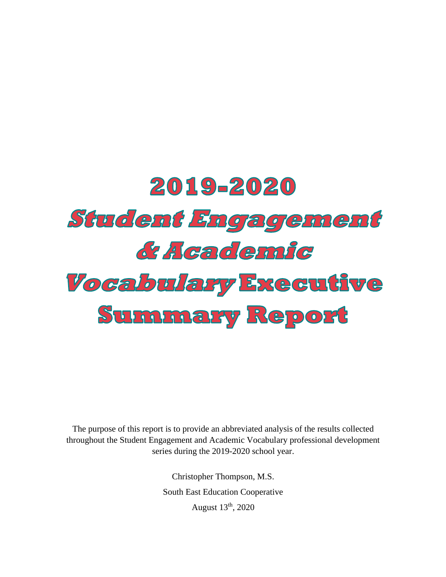# 2019-2020 **Student Engagement** & Academic *Vocabulary Executive* **Summary Report**

The purpose of this report is to provide an abbreviated analysis of the results collected throughout the Student Engagement and Academic Vocabulary professional development series during the 2019-2020 school year.

> Christopher Thompson, M.S. South East Education Cooperative August 13th, 2020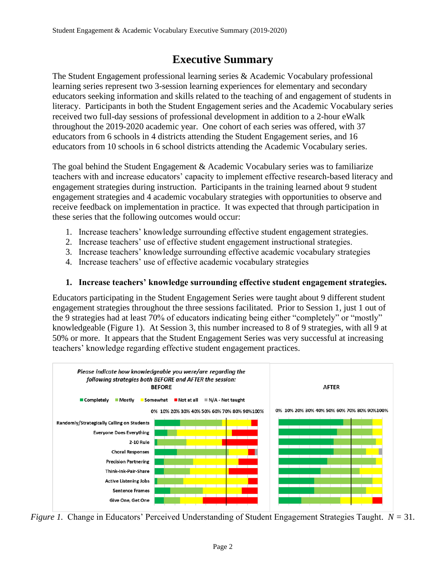# **Executive Summary**

The Student Engagement professional learning series & Academic Vocabulary professional learning series represent two 3-session learning experiences for elementary and secondary educators seeking information and skills related to the teaching of and engagement of students in literacy. Participants in both the Student Engagement series and the Academic Vocabulary series received two full-day sessions of professional development in addition to a 2-hour eWalk throughout the 2019-2020 academic year. One cohort of each series was offered, with 37 educators from 6 schools in 4 districts attending the Student Engagement series, and 16 educators from 10 schools in 6 school districts attending the Academic Vocabulary series.

The goal behind the Student Engagement & Academic Vocabulary series was to familiarize teachers with and increase educators' capacity to implement effective research-based literacy and engagement strategies during instruction. Participants in the training learned about 9 student engagement strategies and 4 academic vocabulary strategies with opportunities to observe and receive feedback on implementation in practice. It was expected that through participation in these series that the following outcomes would occur:

- 1. Increase teachers' knowledge surrounding effective student engagement strategies.
- 2. Increase teachers' use of effective student engagement instructional strategies.
- 3. Increase teachers' knowledge surrounding effective academic vocabulary strategies
- 4. Increase teachers' use of effective academic vocabulary strategies

# **1. Increase teachers' knowledge surrounding effective student engagement strategies.**

Educators participating in the Student Engagement Series were taught about 9 different student engagement strategies throughout the three sessions facilitated. Prior to Session 1, just 1 out of the 9 strategies had at least 70% of educators indicating being either "completely" or "mostly" knowledgeable (Figure 1). At Session 3, this number increased to 8 of 9 strategies, with all 9 at 50% or more. It appears that the Student Engagement Series was very successful at increasing teachers' knowledge regarding effective student engagement practices.



*Figure 1.* Change in Educators' Perceived Understanding of Student Engagement Strategies Taught. *N =* 31*.*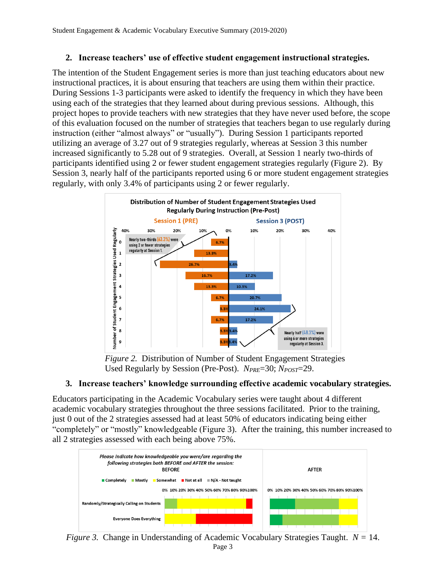# **2. Increase teachers' use of effective student engagement instructional strategies.**

The intention of the Student Engagement series is more than just teaching educators about new instructional practices, it is about ensuring that teachers are using them within their practice. During Sessions 1-3 participants were asked to identify the frequency in which they have been using each of the strategies that they learned about during previous sessions. Although, this project hopes to provide teachers with new strategies that they have never used before, the scope of this evaluation focused on the number of strategies that teachers began to use regularly during instruction (either "almost always" or "usually"). During Session 1 participants reported utilizing an average of 3.27 out of 9 strategies regularly, whereas at Session 3 this number increased significantly to 5.28 out of 9 strategies. Overall, at Session 1 nearly two-thirds of participants identified using 2 or fewer student engagement strategies regularly (Figure 2). By Session 3, nearly half of the participants reported using 6 or more student engagement strategies regularly, with only 3.4% of participants using 2 or fewer regularly.



*Figure 2.* Distribution of Number of Student Engagement Strategies Used Regularly by Session (Pre-Post). *NPRE*=30; *NPOST*=29.

# **3. Increase teachers' knowledge surrounding effective academic vocabulary strategies.**

Educators participating in the Academic Vocabulary series were taught about 4 different academic vocabulary strategies throughout the three sessions facilitated. Prior to the training, just 0 out of the 2 strategies assessed had at least 50% of educators indicating being either "completely" or "mostly" knowledgeable (Figure 3). After the training, this number increased to all 2 strategies assessed with each being above 75%.



Page 3 *Figure 3.* Change in Understanding of Academic Vocabulary Strategies Taught. *N =* 14.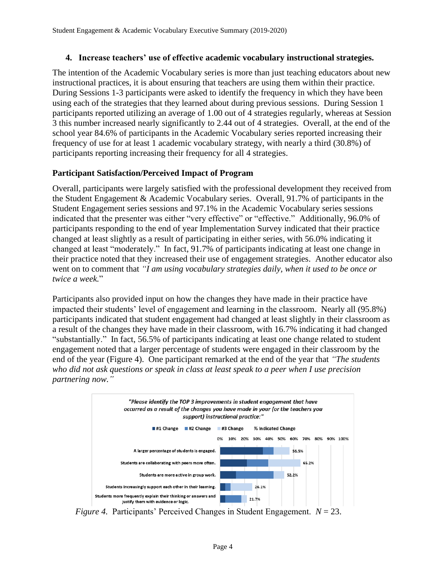## **4. Increase teachers' use of effective academic vocabulary instructional strategies.**

The intention of the Academic Vocabulary series is more than just teaching educators about new instructional practices, it is about ensuring that teachers are using them within their practice. During Sessions 1-3 participants were asked to identify the frequency in which they have been using each of the strategies that they learned about during previous sessions. During Session 1 participants reported utilizing an average of 1.00 out of 4 strategies regularly, whereas at Session 3 this number increased nearly significantly to 2.44 out of 4 strategies. Overall, at the end of the school year 84.6% of participants in the Academic Vocabulary series reported increasing their frequency of use for at least 1 academic vocabulary strategy, with nearly a third (30.8%) of participants reporting increasing their frequency for all 4 strategies.

## **Participant Satisfaction/Perceived Impact of Program**

Overall, participants were largely satisfied with the professional development they received from the Student Engagement & Academic Vocabulary series. Overall, 91.7% of participants in the Student Engagement series sessions and 97.1% in the Academic Vocabulary series sessions indicated that the presenter was either "very effective" or "effective." Additionally, 96.0% of participants responding to the end of year Implementation Survey indicated that their practice changed at least slightly as a result of participating in either series, with 56.0% indicating it changed at least "moderately." In fact, 91.7% of participants indicating at least one change in their practice noted that they increased their use of engagement strategies. Another educator also went on to comment that *"I am using vocabulary strategies daily, when it used to be once or twice a week.*"

Participants also provided input on how the changes they have made in their practice have impacted their students' level of engagement and learning in the classroom. Nearly all (95.8%) participants indicated that student engagement had changed at least slightly in their classroom as a result of the changes they have made in their classroom, with 16.7% indicating it had changed "substantially." In fact, 56.5% of participants indicating at least one change related to student engagement noted that a larger percentage of students were engaged in their classroom by the end of the year (Figure 4). One participant remarked at the end of the year that *"The students who did not ask questions or speak in class at least speak to a peer when I use precision partnering now."*



*Figure 4.* Participants' Perceived Changes in Student Engagement. *N* = 23.